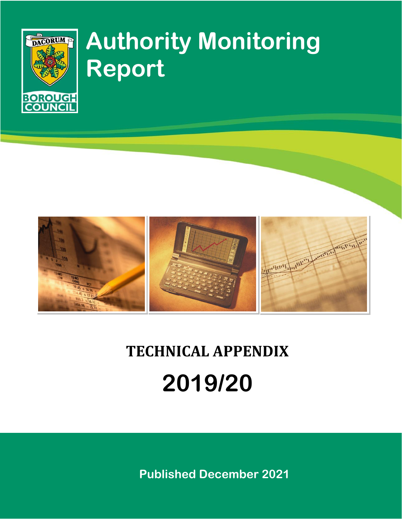

# **Authority Monitoring Report**



# **TECHNICAL APPENDIX 2019/20**

**Published December 2021**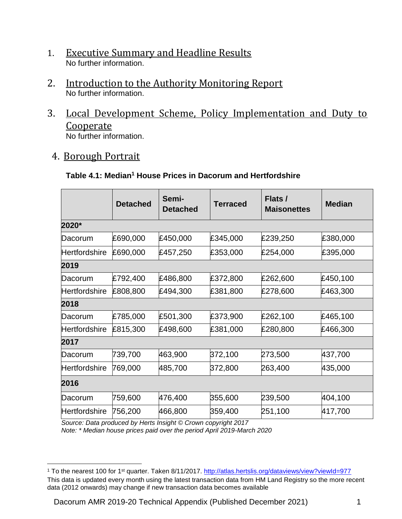- 1. Executive Summary and Headline Results No further information.
- 2. Introduction to the Authority Monitoring Report No further information.
- 3. Local Development Scheme, Policy Implementation and Duty to Cooperate

No further information.

4. Borough Portrait

 $\overline{a}$ 

## **Table 4.1: Median<sup>1</sup> House Prices in Dacorum and Hertfordshire**

|               | <b>Detached</b> | Semi-<br><b>Detached</b> | <b>Terraced</b> | Flats /<br><b>Maisonettes</b> | <b>Median</b> |
|---------------|-----------------|--------------------------|-----------------|-------------------------------|---------------|
| 2020*         |                 |                          |                 |                               |               |
| Dacorum       | £690,000        | £450,000                 | £345,000        | £239,250                      | £380,000      |
| Hertfordshire | £690,000        | £457,250                 | £353,000        | £254,000                      | £395,000      |
| 2019          |                 |                          |                 |                               |               |
| Dacorum       | £792,400        | £486,800                 | £372,800        | £262,600                      | £450,100      |
| Hertfordshire | £808,800        | £494,300                 | £381,800        | £278,600                      | £463,300      |
| 2018          |                 |                          |                 |                               |               |
| Dacorum       | £785,000        | £501,300                 | £373,900        | £262,100                      | £465,100      |
| Hertfordshire | £815,300        | £498,600                 | £381,000        | £280,800                      | £466,300      |
| 2017          |                 |                          |                 |                               |               |
| Dacorum       | 739,700         | 463,900                  | 372,100         | 273,500                       | 437,700       |
| Hertfordshire | 769,000         | 485,700                  | 372,800         | 263,400                       | 435,000       |
| 2016          |                 |                          |                 |                               |               |
| Dacorum       | 759,600         | 476,400                  | 355,600         | 239,500                       | 404,100       |
| Hertfordshire | 756,200         | 466,800                  | 359,400         | 251,100                       | 417,700       |

*Source: Data produced by Herts Insight © Crown copyright 2017*

*Note: \* Median house prices paid over the period April 2019-March 2020*

Dacorum AMR 2019-20 Technical Appendix (Published December 2021) 1

<sup>&</sup>lt;sup>1</sup> To the nearest 100 for 1<sup>st</sup> quarter. Taken 8/11/2017.<http://atlas.hertslis.org/dataviews/view?viewId=977> This data is updated every month using the latest transaction data from HM Land Registry so the more recent data (2012 onwards) may change if new transaction data becomes available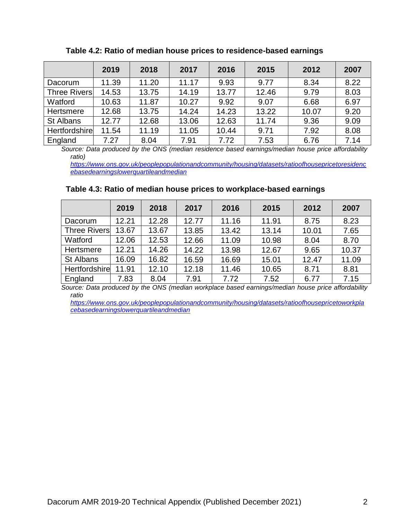|                      | 2019  | 2018  | 2017  | 2016  | 2015  | 2012  | 2007 |
|----------------------|-------|-------|-------|-------|-------|-------|------|
| Dacorum              | 11.39 | 11.20 | 11.17 | 9.93  | 9.77  | 8.34  | 8.22 |
| <b>Three Rivers</b>  | 14.53 | 13.75 | 14.19 | 13.77 | 12.46 | 9.79  | 8.03 |
| Watford              | 10.63 | 11.87 | 10.27 | 9.92  | 9.07  | 6.68  | 6.97 |
| Hertsmere            | 12.68 | 13.75 | 14.24 | 14.23 | 13.22 | 10.07 | 9.20 |
| St Albans            | 12.77 | 12.68 | 13.06 | 12.63 | 11.74 | 9.36  | 9.09 |
| <b>Hertfordshire</b> | 11.54 | 11.19 | 11.05 | 10.44 | 9.71  | 7.92  | 8.08 |
| England              | 7.27  | 8.04  | 7.91  | 7.72  | 7.53  | 6.76  | 7.14 |

**Table 4.2: Ratio of median house prices to residence-based earnings**

*Source: Data produced by the ONS (median residence based earnings/median house price affordability ratio)* 

*[https://www.ons.gov.uk/peoplepopulationandcommunity/housing/datasets/ratioofhousepricetoresidenc](https://www.ons.gov.uk/peoplepopulationandcommunity/housing/datasets/ratioofhousepricetoresidencebasedearningslowerquartileandmedian) [ebasedearningslowerquartileandmedian](https://www.ons.gov.uk/peoplepopulationandcommunity/housing/datasets/ratioofhousepricetoresidencebasedearningslowerquartileandmedian)*

#### **Table 4.3: Ratio of median house prices to workplace-based earnings**

|                     | 2019  | 2018  | 2017  | 2016  | 2015  | 2012  | 2007  |
|---------------------|-------|-------|-------|-------|-------|-------|-------|
| Dacorum             | 12.21 | 12.28 | 12.77 | 11.16 | 11.91 | 8.75  | 8.23  |
| <b>Three Rivers</b> | 13.67 | 13.67 | 13.85 | 13.42 | 13.14 | 10.01 | 7.65  |
| Watford             | 12.06 | 12.53 | 12.66 | 11.09 | 10.98 | 8.04  | 8.70  |
| Hertsmere           | 12.21 | 14.26 | 14.22 | 13.98 | 12.67 | 9.65  | 10.37 |
| St Albans           | 16.09 | 16.82 | 16.59 | 16.69 | 15.01 | 12.47 | 11.09 |
| Hertfordshire       | 11.91 | 12.10 | 12.18 | 11.46 | 10.65 | 8.71  | 8.81  |
| England             | 7.83  | 8.04  | 7.91  | 7.72  | 7.52  | 6.77  | 7.15  |

*Source: Data produced by the ONS (median workplace based earnings/median house price affordability ratio*

*[https://www.ons.gov.uk/peoplepopulationandcommunity/housing/datasets/ratioofhousepricetoworkpla](https://www.ons.gov.uk/peoplepopulationandcommunity/housing/datasets/ratioofhousepricetoworkplacebasedearningslowerquartileandmedian) [cebasedearningslowerquartileandmedian](https://www.ons.gov.uk/peoplepopulationandcommunity/housing/datasets/ratioofhousepricetoworkplacebasedearningslowerquartileandmedian)*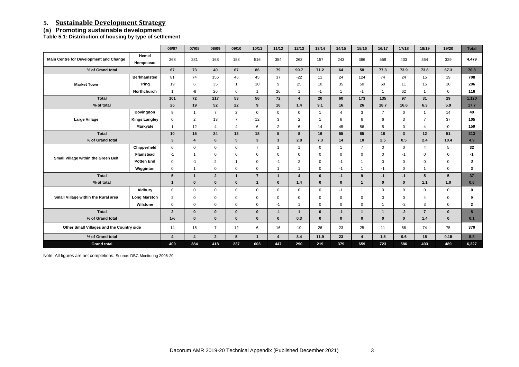## **5. Sustainable Development Strategy**

## **(a) Promoting sustainable development**

**Table 5.1: Distribution of housing by type of settlement**

|                                            |                      | 06/07                   | 07/08            | 08/09                  | 09/10                  | 10/11                   | 11/12                   | 12/13                   | 13/14          | 14/15                   | 15/16                   | 16/17          | 17/18          | 18/19          | 19/20           | <b>Total</b> |
|--------------------------------------------|----------------------|-------------------------|------------------|------------------------|------------------------|-------------------------|-------------------------|-------------------------|----------------|-------------------------|-------------------------|----------------|----------------|----------------|-----------------|--------------|
| Main Centre for Development and Change     | Hemel<br>Hempstead   | 268                     | 281              | 168                    | 158                    | 516                     | 354                     | 263                     | 157            | 243                     | 386                     | 559            | 433            | 364            | 329             | 4,479        |
| % of Grand total                           |                      | 67                      | 73               | 40                     | 67                     | 86                      | 79                      | 90.7                    | 71.2           | 64                      | 58                      | 77.3           | 73.9           | 73.8           | 67.3            | 70.8         |
|                                            | <b>Berkhamsted</b>   | 81                      | 74               | 156                    | 46                     | 45                      | 37                      | $-22$                   | 11             | 24                      | 124                     | 74             | 24             | 15             | 19              | 708          |
| <b>Market Town</b>                         | <b>Tring</b>         | 19                      | 6                | 35                     |                        | 10                      | 9                       | 25                      | 10             | 35                      | 50                      | 60             | 11             | 15             | 10              | 296          |
|                                            | <b>Northchurch</b>   | $\overline{1}$          | -8               | 26                     | 6                      | $\overline{\mathbf{1}}$ | 26                      |                         | $-1$           | -4                      | $-1$                    |                | 62             | 1              | $\mathbf 0$     | 116          |
| <b>Total</b>                               |                      | 101                     | 72               | 217                    | 53                     | 56                      | 72                      | $\overline{4}$          | 20             | 60                      | 173                     | 135            | 97             | 31             | 29              | 1,120        |
| % of total                                 |                      | 25                      | 19               | 52                     | 22                     | 9                       | 16                      | $1.4$                   | 9.1            | 16                      | 26                      | 18.7           | 16.6           | 6.3            | 5.9             | 17.7         |
|                                            | <b>Bovingdon</b>     | 9                       | $\overline{1}$   | $\overline{7}$         | $2^{\circ}$            | $\mathbf 0$             | $\mathbf 0$             | $\mathbf 0$             | $\overline{1}$ | $\overline{4}$          | $\mathbf{3}$            | $\overline{7}$ | $\mathbf 0$    | $\overline{1}$ | 14              | 49           |
| <b>Large Village</b>                       | <b>Kings Langley</b> | $\mathbf 0$             | $\overline{2}$   | 13                     | $\overline{7}$         | 12                      | 3                       | $\overline{2}$          | -1             | 6                       | 6                       | 6              | 3              | $\overline{7}$ | 37              | 105          |
|                                            | <b>Markyate</b>      | $\mathbf 1$             | 12               | $\boldsymbol{\Lambda}$ | $\boldsymbol{\Lambda}$ | 6                       | 2                       | 6                       | 14             | 45                      | 56                      | 5              | $\Omega$       | 4              | $\Omega$        | 159          |
| <b>Total</b>                               |                      | 10                      | 15               | 24                     | 13                     | 18                      | $5\phantom{a}$          | 8                       | 16             | 55                      | 65                      | 18             | $3\phantom{a}$ | 12             | 51              | 313          |
| % of Grand total                           |                      | $\mathbf{3}$            | $\boldsymbol{4}$ | 6                      | 5 <sup>5</sup>         | $\mathbf{3}$            | $\mathbf{1}$            | 2.8                     | 7.3            | 14                      | 10                      | 2.5            | 0.5            | 2.4            | 10.4            | 4.9          |
|                                            | Chipperfield         | 6                       | $\mathbf 0$      | $\mathbf{0}$           | $\mathbf 0$            | $\overline{7}$          | $\overline{1}$          | $\overline{1}$          | $\mathbf 0$    | $\overline{\mathbf{1}}$ | $\overline{7}$          | $\overline{0}$ | $\mathbf 0$    | $\overline{4}$ | $5\overline{)}$ | 32           |
| <b>Small Village within the Green Belt</b> | <b>Flamstead</b>     | $-1$                    |                  | $\mathbf 0$            | 0                      | $\mathbf 0$             | $\mathbf 0$             | $\mathbf 0$             | 0              | 0                       | $\mathbf 0$             | $\Omega$       | $-1$           | 0              | 0               | -1           |
|                                            | <b>Potten End</b>    | $\mathbf 0$             | -1               | $\overline{2}$         |                        | $\mathbf 0$             | $-1$                    | $\overline{2}$          | $\Omega$       | -1                      | $\overline{1}$          | $\Omega$       | $\Omega$       | $\mathbf 0$    | $\mathbf 0$     | 3            |
|                                            | Wigginton            | $\mathbf 0$             | -1               | $\mathbf 0$            | $\mathbf{0}$           | $\mathbf 0$             | $\overline{1}$          | $\overline{\mathbf{1}}$ | $\mathbf{0}$   | $-1$                    | $\overline{1}$          | $-1$           | $\mathbf 0$    | -1             | $\mathbf 0$     | 3            |
| <b>Total</b>                               |                      | $5\phantom{.0}$         | -1               | $2\overline{ }$        | $\mathbf 1$            | $\overline{7}$          | $\mathbf{1}$            | $\overline{\mathbf{4}}$ | $\mathbf{0}$   | $-1$                    | 9                       | $-1$           | $-1$           | 5 <sup>5</sup> | $5\phantom{.0}$ | 37           |
| % of total                                 |                      | $\mathbf 1$             | $\Omega$         | $\mathbf{0}$           | $\mathbf{0}$           | $\mathbf 1$             | $\mathbf{0}$            | 1.4                     | $\mathbf{0}$   | $\mathbf{0}$            | $\mathbf{1}$            | $\bf{0}$       | $\bf{0}$       | 1.1            | 1.0             | 0.6          |
|                                            | <b>Aldbury</b>       | $\mathbf 0$             | $\Omega$         | $\Omega$               | $\mathbf{0}$           | $\mathbf 0$             | $\mathbf 0$             | $\mathbf 0$             | $\mathbf{0}$   | $-1$                    | $\overline{1}$          | $\overline{0}$ | $\Omega$       | $\mathbf{0}$   | $\mathbf 0$     | $\mathbf 0$  |
| Small Village within the Rural area        | <b>Long Marston</b>  | $\overline{2}$          | $\Omega$         | $\Omega$               | 0                      | $\mathbf 0$             | $\mathbf 0$             | $\Omega$                | $\Omega$       | $\mathbf 0$             | $\mathbf 0$             | $\Omega$       | $\mathbf 0$    | 4              | $\mathbf 0$     | 6            |
|                                            | Wilstone             | $\mathbf 0$             | $\mathbf 0$      | $\mathbf 0$            | $\mathbf{0}$           | $\mathbf 0$             | $-1$                    | $\overline{1}$          | $\mathbf 0$    | $\mathbf 0$             | $\mathsf 0$             |                | $-2$           | 3              | $\mathbf 0$     | $\mathbf{2}$ |
| <b>Total</b>                               |                      | $\overline{2}$          | $\mathbf{0}$     | $\mathbf{0}$           | $\mathbf{0}$           | $\mathbf 0$             | $-1$                    | $\mathbf{1}$            | $\mathbf{0}$   | $-1$                    | $\mathbf{1}$            | $\mathbf{1}$   | $-2$           | $\overline{7}$ | $\mathbf{0}$    | 8            |
| % of Grand total                           |                      | 1%                      | $\mathbf{0}$     | $\mathbf{0}$           | $\mathbf{0}$           | $\mathbf 0$             | $\mathbf{0}$            | 0.3                     | $\mathbf{0}$   | $\mathbf 0$             | $\mathbf{0}$            | $\mathbf{0}$   | $\mathbf{0}$   | $1.4$          | $\mathbf{0}$    | 0.1          |
| Other Small Villages and the Country side  |                      | 14                      | 15               | $\overline{7}$         | 12                     | 6                       | 16                      | 10 <sup>1</sup>         | 26             | 23                      | 25                      | 11             | 56             | 74             | 75              | 370          |
| % of Grand total                           |                      | $\overline{\mathbf{4}}$ | $\overline{4}$   | $2^{\circ}$            | 5 <sup>1</sup>         | $\mathbf{1}$            | $\overline{\mathbf{4}}$ | 3.4                     | 11.9           | 23                      | $\overline{\mathbf{4}}$ | 1.5            | 9.6            | 15             | 0.15            | 5.8          |
| <b>Grand total</b>                         |                      | 400                     | 384              | 418                    | 237                    | 603                     | 447                     | 290                     | 219            | 379                     | 659                     | 723            | 586            | 493            | 489             | 6,327        |

Note: All figures are net completions. Source: DBC Monitoring 2006-20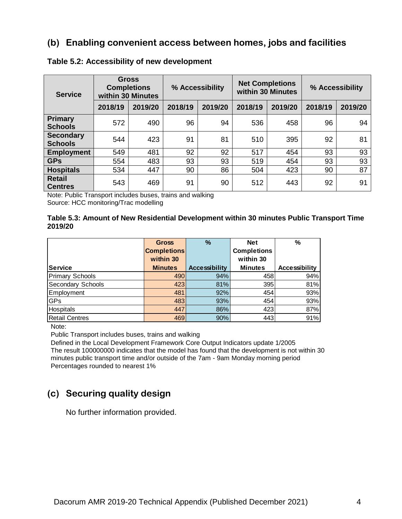## **(b) Enabling convenient access between homes, jobs and facilities**

| <b>Service</b>                     |         | <b>Gross</b><br><b>Completions</b><br>within 30 Minutes | % Accessibility |         |         | <b>Net Completions</b><br>within 30 Minutes | % Accessibility |         |  |
|------------------------------------|---------|---------------------------------------------------------|-----------------|---------|---------|---------------------------------------------|-----------------|---------|--|
|                                    | 2018/19 | 2019/20                                                 | 2018/19         | 2019/20 | 2018/19 | 2019/20                                     | 2018/19         | 2019/20 |  |
| Primary<br><b>Schools</b>          | 572     | 490                                                     | 96              | 94      | 536     | 458                                         | 96              | 94      |  |
| <b>Secondary</b><br><b>Schools</b> | 544     | 423                                                     | 91              | 81      | 510     | 395                                         | 92              | 81      |  |
| <b>Employment</b>                  | 549     | 481                                                     | 92              | 92      | 517     | 454                                         | 93              | 93      |  |
| <b>GPs</b>                         | 554     | 483                                                     | 93              | 93      | 519     | 454                                         | 93              | 93      |  |
| <b>Hospitals</b>                   | 534     | 447                                                     | 90              | 86      | 504     | 423                                         | 90              | 87      |  |
| <b>Retail</b><br><b>Centres</b>    | 543     | 469                                                     | 91              | 90      | 512     | 443                                         | 92              | 91      |  |

#### **Table 5.2: Accessibility of new development**

Note: Public Transport includes buses, trains and walking Source: HCC monitoring/Trac modelling

#### **Table 5.3: Amount of New Residential Development within 30 minutes Public Transport Time 2019/20**

|                        | <b>Gross</b>       | %                    | <b>Net</b>         | $\%$                 |
|------------------------|--------------------|----------------------|--------------------|----------------------|
|                        | <b>Completions</b> |                      | <b>Completions</b> |                      |
|                        | within 30          |                      | within 30          |                      |
| <b>Service</b>         | <b>Minutes</b>     | <b>Accessibility</b> | <b>Minutes</b>     | <b>Accessibility</b> |
| <b>Primary Schools</b> | 490                | 94%                  | 458                | 94%                  |
| Secondary Schools      | 423                | 81%                  | 395                | 81%                  |
| Employment             | 481                | 92%                  | 454                | 93%                  |
| GPs                    | 483                | 93%                  | 454                | 93%                  |
| <b>Hospitals</b>       | 447                | 86%                  | 423                | 87%                  |
| <b>Retail Centres</b>  | 469                | 90%                  | 443                | 91%                  |

Note:

Public Transport includes buses, trains and walking

Defined in the Local Development Framework Core Output Indicators update 1/2005 The result 100000000 indicates that the model has found that the development is not within 30 minutes public transport time and/or outside of the 7am - 9am Monday morning period Percentages rounded to nearest 1%

## **(c) Securing quality design**

No further information provided.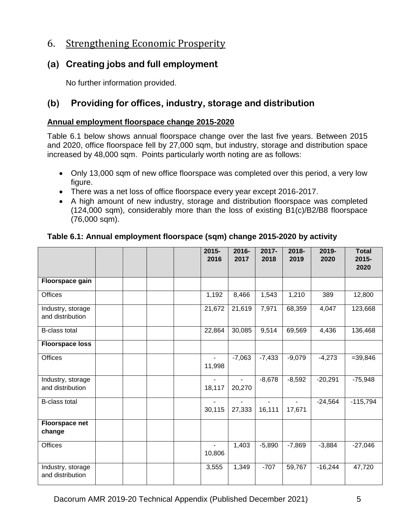## 6. Strengthening Economic Prosperity

## **(a) Creating jobs and full employment**

No further information provided.

## **(b) Providing for offices, industry, storage and distribution**

#### **Annual employment floorspace change 2015-2020**

Table 6.1 below shows annual floorspace change over the last five years. Between 2015 and 2020, office floorspace fell by 27,000 sqm, but industry, storage and distribution space increased by 48,000 sqm. Points particularly worth noting are as follows:

- Only 13,000 sqm of new office floorspace was completed over this period, a very low figure.
- There was a net loss of office floorspace every year except 2016-2017.
- A high amount of new industry, storage and distribution floorspace was completed (124,000 sqm), considerably more than the loss of existing B1(c)/B2/B8 floorspace (76,000 sqm).

|                                       |  | 2015-<br>2016            | 2016-<br>2017 | 2017-<br>2018 | 2018-<br>2019 | 2019-<br>2020 | <b>Total</b><br>2015-<br>2020 |
|---------------------------------------|--|--------------------------|---------------|---------------|---------------|---------------|-------------------------------|
| Floorspace gain                       |  |                          |               |               |               |               |                               |
| <b>Offices</b>                        |  | 1,192                    | 8,466         | 1,543         | 1,210         | 389           | 12,800                        |
| Industry, storage<br>and distribution |  | 21,672                   | 21,619        | 7,971         | 68,359        | 4,047         | 123,668                       |
| <b>B-class total</b>                  |  | 22,864                   | 30,085        | 9,514         | 69,569        | 4,436         | 136,468                       |
| <b>Floorspace loss</b>                |  |                          |               |               |               |               |                               |
| <b>Offices</b>                        |  | $\blacksquare$<br>11,998 | $-7,063$      | $-7,433$      | $-9,079$      | $-4,273$      | $= 39,846$                    |
| Industry, storage<br>and distribution |  | 18,117                   | 20,270        | $-8,678$      | $-8,592$      | $-20,291$     | $-75,948$                     |
| <b>B-class total</b>                  |  | 30,115                   | 27,333        | 16,111        | 17,671        | $-24,564$     | $-115,794$                    |
| <b>Floorspace net</b><br>change       |  |                          |               |               |               |               |                               |
| Offices                               |  | 10,806                   | 1,403         | $-5,890$      | $-7,869$      | $-3,884$      | $-27,046$                     |
| Industry, storage<br>and distribution |  | 3,555                    | 1,349         | $-707$        | 59,767        | $-16,244$     | 47,720                        |

#### **Table 6.1: Annual employment floorspace (sqm) change 2015-2020 by activity**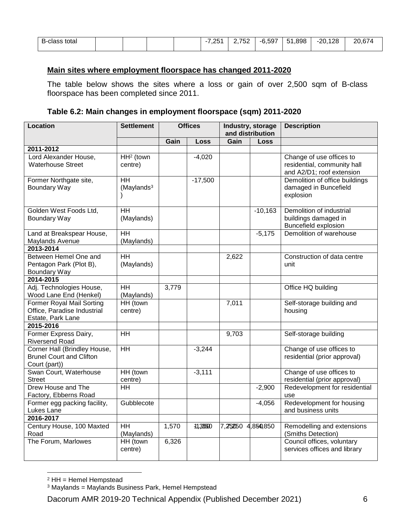| ∽<br>tota<br>B-class<br>້ |  |  | $\Omega$<br>…<br>__ | $7-2$<br>'52<br>-<br>$\sim$ $\sim$ | i.597<br>-n | .898<br>$-1$<br>∽ | 128<br>-20 | $\sim$ $-$<br>∩ר<br>. . |
|---------------------------|--|--|---------------------|------------------------------------|-------------|-------------------|------------|-------------------------|
|                           |  |  |                     |                                    |             |                   |            |                         |

## **Main sites where employment floorspace has changed 2011-2020**

The table below shows the sites where a loss or gain of over 2,500 sqm of B-class floorspace has been completed since 2011.

#### **Table 6.2: Main changes in employment floorspace (sqm) 2011-2020**

| <b>Location</b>                                                                      | <b>Settlement</b>                     |       | <b>Offices</b> |          | Industry, storage<br>and distribution | <b>Description</b>                                                                   |
|--------------------------------------------------------------------------------------|---------------------------------------|-------|----------------|----------|---------------------------------------|--------------------------------------------------------------------------------------|
|                                                                                      |                                       | Gain  | Loss           | Gain     | Loss                                  |                                                                                      |
| 2011-2012                                                                            |                                       |       |                |          |                                       |                                                                                      |
| Lord Alexander House,<br><b>Waterhouse Street</b>                                    | $HH2$ (town<br>centre)                |       | $-4,020$       |          |                                       | Change of use offices to<br>residential, community hall<br>and A2/D1; roof extension |
| Former Northgate site,<br>Boundary Way                                               | <b>HH</b><br>(Maylands <sup>3</sup> ) |       | $-17,500$      |          |                                       | Demolition of office buildings<br>damaged in Buncefield<br>explosion                 |
| Golden West Foods Ltd,<br>Boundary Way                                               | HH<br>(Maylands)                      |       |                |          | $-10,163$                             | Demolition of industrial<br>buildings damaged in<br>Buncefield explosion             |
| Land at Breakspear House,<br>Maylands Avenue                                         | HH<br>(Maylands)                      |       |                |          | $-5,175$                              | Demolition of warehouse                                                              |
| 2013-2014                                                                            |                                       |       |                |          |                                       |                                                                                      |
| Between Hemel One and<br>Pentagon Park (Plot B),<br><b>Boundary Way</b>              | <b>HH</b><br>(Maylands)               |       |                | 2,622    |                                       | Construction of data centre<br>unit                                                  |
| 2014-2015                                                                            |                                       |       |                |          |                                       |                                                                                      |
| Adj. Technologies House,<br>Wood Lane End (Henkel)                                   | <b>HH</b><br>(Maylands)               | 3,779 |                |          |                                       | Office HQ building                                                                   |
| <b>Former Royal Mail Sorting</b><br>Office, Paradise Industrial<br>Estate, Park Lane | HH (town<br>centre)                   |       |                | 7,011    |                                       | Self-storage building and<br>housing                                                 |
| 2015-2016                                                                            |                                       |       |                |          |                                       |                                                                                      |
| Former Express Dairy,<br>Riversend Road                                              | $\overline{HH}$                       |       |                | 9,703    |                                       | Self-storage building                                                                |
| Corner Hall (Brindley House,<br><b>Brunel Court and Clifton</b><br>Court (part))     | $\overline{H}$                        |       | $-3,244$       |          |                                       | Change of use offices to<br>residential (prior approval)                             |
| Swan Court, Waterhouse<br><b>Street</b>                                              | HH (town<br>centre)                   |       | $-3,111$       |          |                                       | Change of use offices to<br>residential (prior approval)                             |
| Drew House and The<br>Factory, Ebberns Road                                          | <b>HH</b>                             |       |                |          | $-2,900$                              | Redevelopment for residential<br>use                                                 |
| Former egg packing facility,<br>Lukes Lane                                           | Gubblecote                            |       |                |          | $-4,056$                              | Redevelopment for housing<br>and business units                                      |
| 2016-2017                                                                            |                                       |       |                |          |                                       |                                                                                      |
| Century House, 100 Maxted<br>Road                                                    | <b>HH</b><br>(Maylands)               | 1,570 | 41,355500      | 7,252050 | 4,850,850                             | Remodelling and extensions<br>(Smiths Detection)                                     |
| The Forum, Marlowes                                                                  | HH (town<br>centre)                   | 6,326 |                |          |                                       | Council offices, voluntary<br>services offices and library                           |

 $2$  HH = Hemel Hempstead

 $\overline{a}$ 

<sup>3</sup> Maylands = Maylands Business Park, Hemel Hempstead

Dacorum AMR 2019-20 Technical Appendix (Published December 2021) 6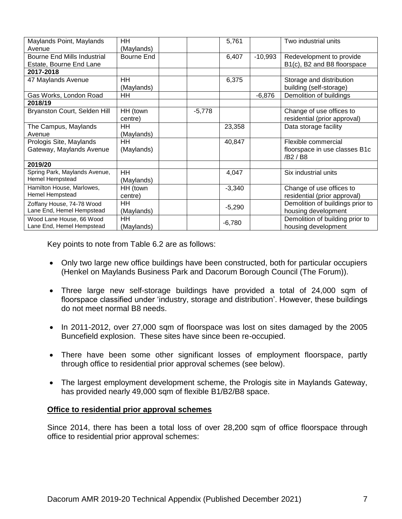| Maylands Point, Maylands<br>Avenue                            | HH<br>(Maylands)        |          | 5,761    |           | Two industrial units                                             |
|---------------------------------------------------------------|-------------------------|----------|----------|-----------|------------------------------------------------------------------|
| <b>Bourne End Mills Industrial</b><br>Estate, Bourne End Lane | Bourne End              |          | 6,407    | $-10,993$ | Redevelopment to provide<br>B1(c), B2 and B8 floorspace          |
| 2017-2018                                                     |                         |          |          |           |                                                                  |
| 47 Maylands Avenue                                            | HH<br>(Maylands)        |          | 6,375    |           | Storage and distribution<br>building (self-storage)              |
| Gas Works, London Road                                        | HH                      |          |          | $-6,876$  | Demolition of buildings                                          |
| 2018/19                                                       |                         |          |          |           |                                                                  |
| Bryanston Court, Selden Hill                                  | HH (town<br>centre)     | $-5,778$ |          |           | Change of use offices to<br>residential (prior approval)         |
| The Campus, Maylands<br>Avenue                                | HH<br>(Maylands)        |          | 23,358   |           | Data storage facility                                            |
| Prologis Site, Maylands<br>Gateway, Maylands Avenue           | HH<br>(Maylands)        |          | 40,847   |           | Flexible commercial<br>floorspace in use classes B1c<br>/B2 / B8 |
| 2019/20                                                       |                         |          |          |           |                                                                  |
| Spring Park, Maylands Avenue,<br>Hemel Hempstead              | HH.<br>(Maylands)       |          | 4,047    |           | Six industrial units                                             |
| Hamilton House, Marlowes,<br>Hemel Hempstead                  | HH (town<br>centre)     |          | $-3,340$ |           | Change of use offices to<br>residential (prior approval)         |
| Zoffany House, 74-78 Wood<br>Lane End, Hemel Hempstead        | <b>HH</b><br>(Maylands) |          | $-5,290$ |           | Demolition of buildings prior to<br>housing development          |
| Wood Lane House, 66 Wood<br>Lane End, Hemel Hempstead         | ΗH<br>(Maylands)        |          | $-6,780$ |           | Demolition of building prior to<br>housing development           |

Key points to note from Table 6.2 are as follows:

- Only two large new office buildings have been constructed, both for particular occupiers (Henkel on Maylands Business Park and Dacorum Borough Council (The Forum)).
- Three large new self-storage buildings have provided a total of 24,000 sqm of floorspace classified under 'industry, storage and distribution'. However, these buildings do not meet normal B8 needs.
- In 2011-2012, over 27,000 sqm of floorspace was lost on sites damaged by the 2005 Buncefield explosion. These sites have since been re-occupied.
- There have been some other significant losses of employment floorspace, partly through office to residential prior approval schemes (see below).
- The largest employment development scheme, the Prologis site in Maylands Gateway, has provided nearly 49,000 sqm of flexible B1/B2/B8 space.

#### **Office to residential prior approval schemes**

Since 2014, there has been a total loss of over 28,200 sqm of office floorspace through office to residential prior approval schemes: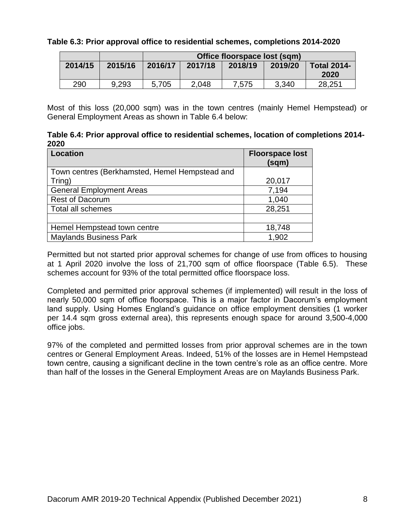#### **Table 6.3: Prior approval office to residential schemes, completions 2014-2020**

|         |         |         | Office floorspace lost (sqm) |         |         |                            |  |  |  |  |  |
|---------|---------|---------|------------------------------|---------|---------|----------------------------|--|--|--|--|--|
| 2014/15 | 2015/16 | 2016/17 | 2017/18                      | 2018/19 | 2019/20 | <b>Total 2014-</b><br>2020 |  |  |  |  |  |
| 290     | 9.293   | 5,705   | 2,048                        | 7,575   | 3,340   | 28,251                     |  |  |  |  |  |

Most of this loss (20,000 sqm) was in the town centres (mainly Hemel Hempstead) or General Employment Areas as shown in Table 6.4 below:

**Table 6.4: Prior approval office to residential schemes, location of completions 2014- 2020**

| <b>Location</b>                                | <b>Floorspace lost</b><br>(sqm) |
|------------------------------------------------|---------------------------------|
| Town centres (Berkhamsted, Hemel Hempstead and |                                 |
| Tring)                                         | 20,017                          |
| <b>General Employment Areas</b>                | 7,194                           |
| <b>Rest of Dacorum</b>                         | 1,040                           |
| <b>Total all schemes</b>                       | 28,251                          |
|                                                |                                 |
| Hemel Hempstead town centre                    | 18,748                          |
| <b>Maylands Business Park</b>                  | 1,902                           |

Permitted but not started prior approval schemes for change of use from offices to housing at 1 April 2020 involve the loss of 21,700 sqm of office floorspace (Table 6.5). These schemes account for 93% of the total permitted office floorspace loss.

Completed and permitted prior approval schemes (if implemented) will result in the loss of nearly 50,000 sqm of office floorspace. This is a major factor in Dacorum's employment land supply. Using Homes England's guidance on office employment densities (1 worker per 14.4 sqm gross external area), this represents enough space for around 3,500-4,000 office jobs.

97% of the completed and permitted losses from prior approval schemes are in the town centres or General Employment Areas. Indeed, 51% of the losses are in Hemel Hempstead town centre, causing a significant decline in the town centre's role as an office centre. More than half of the losses in the General Employment Areas are on Maylands Business Park.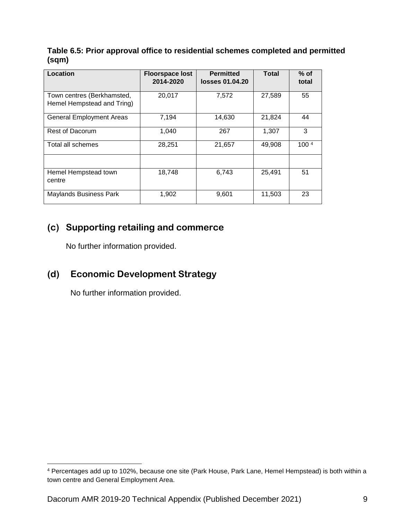**Table 6.5: Prior approval office to residential schemes completed and permitted (sqm)**

| Location                                                 | <b>Floorspace lost</b><br>2014-2020 | <b>Permitted</b><br>losses 01.04.20 | <b>Total</b> | $%$ of<br>total  |
|----------------------------------------------------------|-------------------------------------|-------------------------------------|--------------|------------------|
| Town centres (Berkhamsted,<br>Hemel Hempstead and Tring) | 20,017                              | 7,572                               | 27,589       | 55               |
| <b>General Employment Areas</b>                          | 7,194                               | 14,630                              | 21,824       | 44               |
| <b>Rest of Dacorum</b>                                   | 1,040                               | 267                                 | 1,307        | 3                |
| Total all schemes                                        | 28,251                              | 21,657                              | 49,908       | 100 <sup>4</sup> |
| Hemel Hempstead town<br>centre                           | 18,748                              | 6,743                               | 25,491       | 51               |
| Maylands Business Park                                   | 1,902                               | 9,601                               | 11,503       | 23               |

## **(c) Supporting retailing and commerce**

No further information provided.

## **(d) Economic Development Strategy**

No further information provided.

 $\overline{a}$ 

<sup>4</sup> Percentages add up to 102%, because one site (Park House, Park Lane, Hemel Hempstead) is both within a town centre and General Employment Area.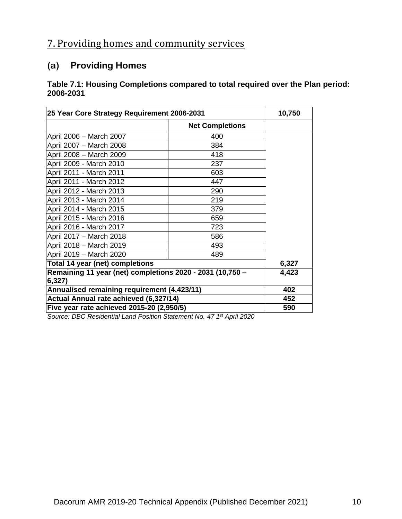# 7. Providing homes and community services

## **(a) Providing Homes**

#### **Table 7.1: Housing Completions compared to total required over the Plan period: 2006-2031**

| 25 Year Core Strategy Requirement 2006-2031                         | 10,750                 |       |
|---------------------------------------------------------------------|------------------------|-------|
|                                                                     | <b>Net Completions</b> |       |
| April 2006 - March 2007                                             | 400                    |       |
| April 2007 - March 2008                                             | 384                    |       |
| April 2008 - March 2009                                             | 418                    |       |
| April 2009 - March 2010                                             | 237                    |       |
| April 2011 - March 2011                                             | 603                    |       |
| April 2011 - March 2012                                             | 447                    |       |
| April 2012 - March 2013                                             | 290                    |       |
| April 2013 - March 2014                                             | 219                    |       |
| April 2014 - March 2015                                             | 379                    |       |
| April 2015 - March 2016                                             | 659                    |       |
| April 2016 - March 2017                                             | 723                    |       |
| April 2017 - March 2018                                             | 586                    |       |
| April 2018 - March 2019                                             | 493                    |       |
| April 2019 - March 2020                                             | 489                    |       |
| Total 14 year (net) completions                                     |                        | 6,327 |
| Remaining 11 year (net) completions 2020 - 2031 (10,750 -<br>6,327) | 4,423                  |       |
| Annualised remaining requirement (4,423/11)                         | 402                    |       |
| Actual Annual rate achieved (6,327/14)                              | 452                    |       |
| Five year rate achieved 2015-20 (2,950/5)                           | 590                    |       |

*Source: DBC Residential Land Position Statement No. 47 1 st April 2020*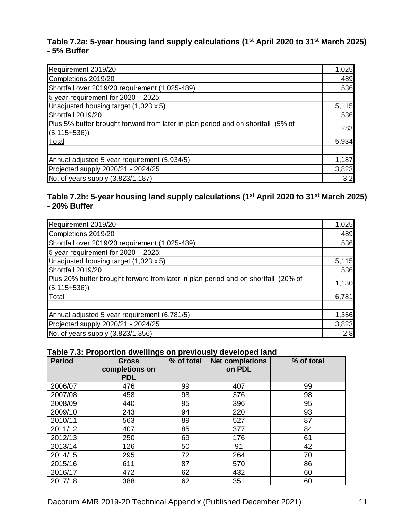#### **Table 7.2a: 5-year housing land supply calculations (1st April 2020 to 31st March 2025) - 5% Buffer**

| Requirement 2019/20                                                                                  | 1,025 |
|------------------------------------------------------------------------------------------------------|-------|
| Completions 2019/20                                                                                  | 489   |
| Shortfall over 2019/20 requirement (1,025-489)                                                       | 536   |
| 5 year requirement for $2020 - 2025$ :                                                               |       |
| Unadjusted housing target $(1,023 \times 5)$                                                         | 5,115 |
| Shortfall 2019/20                                                                                    | 536   |
| Plus 5% buffer brought forward from later in plan period and on shortfall (5% of<br>$(5, 115 + 536)$ | 283   |
| Total                                                                                                | 5,934 |
|                                                                                                      |       |
| Annual adjusted 5 year requirement (5,934/5)                                                         | 1,187 |
| Projected supply 2020/21 - 2024/25                                                                   | 3,823 |
| No. of years supply (3,823/1,187)                                                                    | 3.2   |

#### **Table 7.2b: 5-year housing land supply calculations (1st April 2020 to 31st March 2025) - 20% Buffer**

| Requirement 2019/20                                                                                    | 1,025 |
|--------------------------------------------------------------------------------------------------------|-------|
| Completions 2019/20                                                                                    | 489   |
| Shortfall over 2019/20 requirement (1,025-489)                                                         | 536   |
| 5 year requirement for $2020 - 2025$ :                                                                 |       |
| Unadjusted housing target $(1,023 \times 5)$                                                           | 5,115 |
| Shortfall 2019/20                                                                                      | 536   |
| Plus 20% buffer brought forward from later in plan period and on shortfall (20% of<br>$(5, 115 + 536)$ | 1,130 |
| Total                                                                                                  | 6,781 |
|                                                                                                        |       |
| Annual adjusted 5 year requirement (6,781/5)                                                           | 1,356 |
| Projected supply 2020/21 - 2024/25                                                                     | 3,823 |
| No. of years supply $(3,823/1,356)$                                                                    | 2.8   |

#### **Table 7.3: Proportion dwellings on previously developed land**

| <b>Period</b> | ∵.<br><b>Gross</b><br>completions on<br><b>PDL</b> | % of total | <b>Net completions</b><br>on PDL | % of total |
|---------------|----------------------------------------------------|------------|----------------------------------|------------|
| 2006/07       | 476                                                | 99         | 407                              | 99         |
| 2007/08       | 458                                                | 98         | 376                              | 98         |
| 2008/09       | 440                                                | 95         | 396                              | 95         |
| 2009/10       | 243                                                | 94         | 220                              | 93         |
| 2010/11       | 563                                                | 89         | 527                              | 87         |
| 2011/12       | 407                                                | 85         | 377                              | 84         |
| 2012/13       | 250                                                | 69         | 176                              | 61         |
| 2013/14       | 126                                                | 50         | 91                               | 42         |
| 2014/15       | 295                                                | 72         | 264                              | 70         |
| 2015/16       | 611                                                | 87         | 570                              | 86         |
| 2016/17       | 472                                                | 62         | 432                              | 60         |
| 2017/18       | 388                                                | 62         | 351                              | 60         |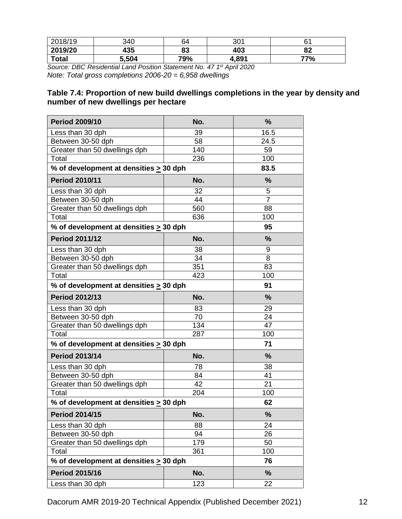| 2018/19      | 340   | 64  | 301   | 21  |
|--------------|-------|-----|-------|-----|
| 2019/20      | 435   | 83  | 403   | 82  |
| <b>Total</b> | 5,504 | 79% | 4,891 | 77% |

*Source: DBC Residential Land Position Statement No. 47 1 st April 2020 Note: Total gross completions 2006-20 = 6,958 dwellings*

#### **Table 7.4: Proportion of new build dwellings completions in the year by density and number of new dwellings per hectare**

| <b>Period 2009/10</b>                       | No. | %              |
|---------------------------------------------|-----|----------------|
| Less than 30 dph                            | 39  | 16.5           |
| Between 30-50 dph                           | 58  | 24.5           |
| Greater than 50 dwellings dph               | 140 | 59             |
| Total                                       | 236 | 100            |
| % of development at densities $\geq$ 30 dph |     | 83.5           |
| <b>Period 2010/11</b>                       | No. | %              |
| Less than 30 dph                            | 32  | 5              |
| Between 30-50 dph                           | 44  | $\overline{7}$ |
| Greater than 50 dwellings dph               | 560 | 88             |
| Total                                       | 636 | 100            |
| % of development at densities $\geq$ 30 dph |     | 95             |
| <b>Period 2011/12</b>                       | No. | %              |
| Less than 30 dph                            | 38  | 9              |
| Between 30-50 dph                           | 34  | 8              |
| Greater than 50 dwellings dph               | 351 | 83             |
| Total                                       | 423 | 100            |
| % of development at densities > 30 dph      | 91  |                |
| <b>Period 2012/13</b>                       | No. | %              |
| Less than 30 dph                            | 83  | 29             |
| Between 30-50 dph                           | 70  | 24             |
| Greater than 50 dwellings dph               | 134 | 47             |
| Total                                       | 287 | 100            |
| % of development at densities > 30 dph      |     | 71             |
| <b>Period 2013/14</b>                       | No. | %              |
| Less than 30 dph                            | 78  | 38             |
| Between 30-50 dph                           | 84  | 41             |
| Greater than 50 dwellings dph               | 42  | 21             |
| Total                                       | 204 | 100            |
| % of development at densities $\geq 30$ dph |     | 62             |
| <b>Period 2014/15</b>                       | No. | %              |
| Less than 30 dph                            | 88  | 24             |
| Between 30-50 dph                           | 94  | 26             |
| Greater than 50 dwellings dph               | 179 | 50             |
| Total                                       | 361 | 100            |
| % of development at densities > 30 dph      | 76  |                |
| <b>Period 2015/16</b>                       | No. | %              |
| Less than 30 dph                            | 123 | 22             |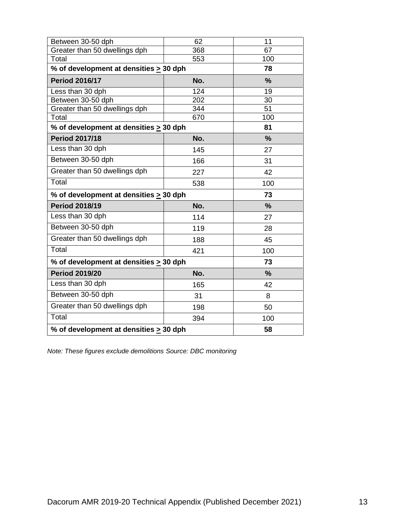| Between 30-50 dph                           | 62  | 11            |
|---------------------------------------------|-----|---------------|
| Greater than 50 dwellings dph               | 368 | 67            |
| Total                                       | 553 | 100           |
| % of development at densities > 30 dph      |     | 78            |
| <b>Period 2016/17</b>                       | No. | $\frac{9}{6}$ |
| Less than 30 dph                            | 124 | 19            |
| Between 30-50 dph                           | 202 | 30            |
| Greater than 50 dwellings dph               | 344 | 51            |
| Total                                       | 670 | 100           |
| % of development at densities > 30 dph      |     | 81            |
| <b>Period 2017/18</b>                       | No. | $\frac{9}{6}$ |
| Less than 30 dph                            | 145 | 27            |
| Between 30-50 dph                           | 166 | 31            |
| Greater than 50 dwellings dph               | 227 | 42            |
| Total                                       | 538 | 100           |
| % of development at densities > 30 dph      |     | 73            |
| <b>Period 2018/19</b>                       | No. | %             |
| Less than 30 dph                            | 114 | 27            |
| Between 30-50 dph                           | 119 | 28            |
| Greater than 50 dwellings dph               | 188 | 45            |
| Total                                       | 421 | 100           |
| % of development at densities > 30 dph      |     | 73            |
| <b>Period 2019/20</b>                       | No. | $\frac{9}{6}$ |
| Less than 30 dph                            | 165 | 42            |
| Between 30-50 dph                           | 31  | 8             |
| Greater than 50 dwellings dph               | 198 | 50            |
| Total                                       | 394 | 100           |
| % of development at densities $\geq$ 30 dph | 58  |               |

*Note: These figures exclude demolitions Source: DBC monitoring*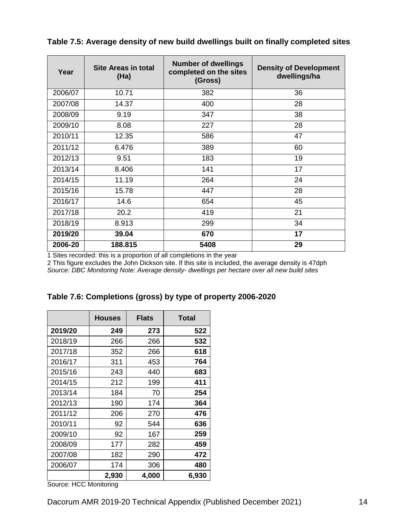| Year    | <b>Site Areas in total</b><br>(Ha) | <b>Number of dwellings</b><br>completed on the sites<br>(Gross) | <b>Density of Development</b><br>dwellings/ha |
|---------|------------------------------------|-----------------------------------------------------------------|-----------------------------------------------|
| 2006/07 | 10.71                              | 382                                                             | 36                                            |
| 2007/08 | 14.37                              | 400                                                             | 28                                            |
| 2008/09 | 9.19                               | 347                                                             | 38                                            |
| 2009/10 | 8.08                               | 227                                                             | 28                                            |
| 2010/11 | 12.35                              | 586                                                             | 47                                            |
| 2011/12 | 6.476                              | 389                                                             | 60                                            |
| 2012/13 | 9.51                               | 183                                                             | 19                                            |
| 2013/14 | 8.406                              | 141                                                             | 17                                            |
| 2014/15 | 11.19                              | 264                                                             | 24                                            |
| 2015/16 | 15.78                              | 447                                                             | 28                                            |
| 2016/17 | 14.6                               | 654                                                             | 45                                            |
| 2017/18 | 20.2                               | 419                                                             | 21                                            |
| 2018/19 | 8.913                              | 299                                                             | 34                                            |
| 2019/20 | 39.04                              | 670                                                             | 17                                            |
| 2006-20 | 188.815                            | 5408                                                            | 29                                            |

**Table 7.5: Average density of new build dwellings built on finally completed sites**

1 Sites recorded: this is a proportion of all completions in the year

2 This figure excludes the John Dickson site. If this site is included, the average density is 47dph *Source: DBC Monitoring Note: Average density- dwellings per hectare over all new build sites*

|  | Table 7.6: Completions (gross) by type of property 2006-2020 |  |  |  |
|--|--------------------------------------------------------------|--|--|--|
|  |                                                              |  |  |  |

|         | <b>Houses</b> | <b>Flats</b> | <b>Total</b> |
|---------|---------------|--------------|--------------|
| 2019/20 | 249           | 273          | 522          |
| 2018/19 | 266           | 266          | 532          |
| 2017/18 | 352           | 266          | 618          |
| 2016/17 | 311           | 453          | 764          |
| 2015/16 | 243           | 440          | 683          |
| 2014/15 | 212           | 199          | 411          |
| 2013/14 | 184           | 70           | 254          |
| 2012/13 | 190           | 174          | 364          |
| 2011/12 | 206           | 270          | 476          |
| 2010/11 | 92            | 544          | 636          |
| 2009/10 | 92            | 167          | 259          |
| 2008/09 | 177           | 282          | 459          |
| 2007/08 | 182           | 290          | 472          |
| 2006/07 | 174           | 306          | 480          |
|         | 2,930         | 4,000        | 6,930        |

Source: HCC Monitoring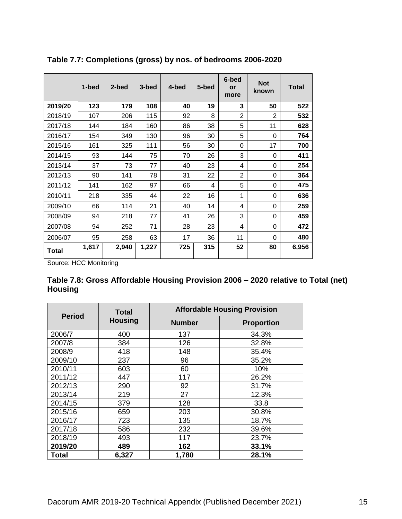|         | 1-bed | 2-bed | 3-bed | 4-bed | 5-bed | 6-bed<br>or<br>more | <b>Not</b><br>known | <b>Total</b> |
|---------|-------|-------|-------|-------|-------|---------------------|---------------------|--------------|
| 2019/20 | 123   | 179   | 108   | 40    | 19    | 3                   | 50                  | 522          |
| 2018/19 | 107   | 206   | 115   | 92    | 8     | $\overline{2}$      | $\overline{2}$      | 532          |
| 2017/18 | 144   | 184   | 160   | 86    | 38    | 5                   | 11                  | 628          |
| 2016/17 | 154   | 349   | 130   | 96    | 30    | 5                   | $\Omega$            | 764          |
| 2015/16 | 161   | 325   | 111   | 56    | 30    | 0                   | 17                  | 700          |
| 2014/15 | 93    | 144   | 75    | 70    | 26    | 3                   | 0                   | 411          |
| 2013/14 | 37    | 73    | 77    | 40    | 23    | 4                   | 0                   | 254          |
| 2012/13 | 90    | 141   | 78    | 31    | 22    | $\overline{2}$      | 0                   | 364          |
| 2011/12 | 141   | 162   | 97    | 66    | 4     | 5                   | 0                   | 475          |
| 2010/11 | 218   | 335   | 44    | 22    | 16    | 1                   | 0                   | 636          |
| 2009/10 | 66    | 114   | 21    | 40    | 14    | 4                   | 0                   | 259          |
| 2008/09 | 94    | 218   | 77    | 41    | 26    | 3                   | 0                   | 459          |
| 2007/08 | 94    | 252   | 71    | 28    | 23    | 4                   | 0                   | 472          |
| 2006/07 | 95    | 258   | 63    | 17    | 36    | 11                  | 0                   | 480          |
| Total   | 1,617 | 2,940 | 1,227 | 725   | 315   | 52                  | 80                  | 6,956        |

**Table 7.7: Completions (gross) by nos. of bedrooms 2006-2020**

Source: HCC Monitoring

| Table 7.8: Gross Affordable Housing Provision 2006 – 2020 relative to Total (net) |  |
|-----------------------------------------------------------------------------------|--|
| <b>Housing</b>                                                                    |  |

| <b>Period</b> | <b>Total</b><br><b>Housing</b> | <b>Affordable Housing Provision</b> |                   |  |
|---------------|--------------------------------|-------------------------------------|-------------------|--|
|               |                                | <b>Number</b>                       | <b>Proportion</b> |  |
| 2006/7        | 400                            | 137                                 | 34.3%             |  |
| 2007/8        | 384                            | 126                                 | 32.8%             |  |
| 2008/9        | 418                            | 148                                 | 35.4%             |  |
| 2009/10       | 237                            | 96                                  | 35.2%             |  |
| 2010/11       | 603                            | 60                                  | 10%               |  |
| 2011/12       | 447                            | 117                                 | 26.2%             |  |
| 2012/13       | 290                            | 92                                  | 31.7%             |  |
| 2013/14       | 219                            | 27                                  | 12.3%             |  |
| 2014/15       | 379                            | 128                                 | 33.8              |  |
| 2015/16       | 659                            | 203                                 | 30.8%             |  |
| 2016/17       | 723                            | 135                                 | 18.7%             |  |
| 2017/18       | 586                            | 232                                 | 39.6%             |  |
| 2018/19       | 493                            | 117                                 | 23.7%             |  |
| 2019/20       | 489                            | 162                                 | 33.1%             |  |
| Total         | 6,327                          | 1,780                               | 28.1%             |  |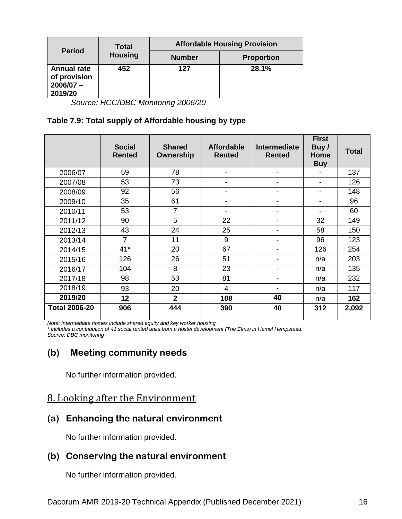| <b>Period</b>                                                | <b>Total</b><br><b>Housing</b> | <b>Affordable Housing Provision</b> |                   |  |
|--------------------------------------------------------------|--------------------------------|-------------------------------------|-------------------|--|
|                                                              |                                | <b>Number</b>                       | <b>Proportion</b> |  |
| <b>Annual rate</b><br>of provision<br>$2006/07 -$<br>2019/20 | 452                            | 127                                 | 28.1%             |  |

*Source: HCC/DBC Monitoring 2006/20*

#### **Table 7.9: Total supply of Affordable housing by type**

|                      | <b>Social</b><br><b>Rented</b> | <b>Shared</b><br>Ownership | <b>Affordable</b><br><b>Rented</b> | Intermediate<br><b>Rented</b> | <b>First</b><br>Buy/<br>Home<br><b>Buy</b> | <b>Total</b> |
|----------------------|--------------------------------|----------------------------|------------------------------------|-------------------------------|--------------------------------------------|--------------|
| 2006/07              | 59                             | 78                         |                                    | -                             |                                            | 137          |
| 2007/08              | 53                             | 73                         |                                    |                               | $\overline{\phantom{a}}$                   | 126          |
| 2008/09              | 92                             | 56                         |                                    | $\blacksquare$                | $\overline{\phantom{0}}$                   | 148          |
| 2009/10              | 35                             | 61                         | $\overline{\phantom{a}}$           | -                             | $\overline{\phantom{a}}$                   | 96           |
| 2010/11              | 53                             | $\overline{7}$             |                                    |                               |                                            | 60           |
| 2011/12              | 90                             | 5                          | 22                                 |                               | 32                                         | 149          |
| 2012/13              | 43                             | 24                         | 25                                 | $\blacksquare$                | 58                                         | 150          |
| 2013/14              | $\overline{7}$                 | 11                         | 9                                  | $\blacksquare$                | 96                                         | 123          |
| 2014/15              | $41*$                          | 20                         | 67                                 | ۳                             | 126                                        | 254          |
| 2015/16              | 126                            | 26                         | 51                                 | $\blacksquare$                | n/a                                        | 203          |
| 2016/17              | 104                            | 8                          | 23                                 | $\blacksquare$                | n/a                                        | 135          |
| 2017/18              | 98                             | 53                         | 81                                 | $\overline{\phantom{a}}$      | n/a                                        | 232          |
| 2018/19              | 93                             | 20                         | $\overline{4}$                     | $\blacksquare$                | n/a                                        | 117          |
| 2019/20              | 12                             | $\overline{2}$             | 108                                | 40                            | n/a                                        | 162          |
| <b>Total 2006-20</b> | 906                            | 444                        | 390                                | 40                            | 312                                        | 2,092        |

*Note: Intermediate homes include shared equity and key worker housing.* 

*\* Includes a contribution of 41 social rented units from a hostel development (The Elms) in Hemel Hempstead. Source: DBC monitoring*

## **(b) Meeting community needs**

No further information provided.

## 8. Looking after the Environment

## **(a) Enhancing the natural environment**

No further information provided.

### **(b) Conserving the natural environment**

No further information provided.